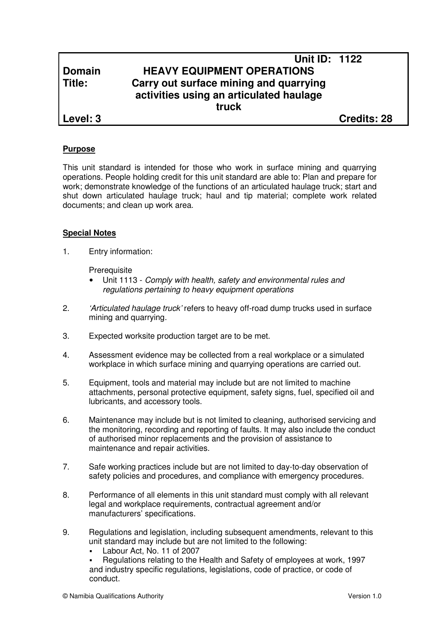# **Unit ID: 1122 Domain HEAVY EQUIPMENT OPERATIONS Title: Carry out surface mining and quarrying activities using an articulated haulage truck**

**Level: 3 Credits: 28**

# **Purpose**

This unit standard is intended for those who work in surface mining and quarrying operations. People holding credit for this unit standard are able to: Plan and prepare for work; demonstrate knowledge of the functions of an articulated haulage truck; start and shut down articulated haulage truck; haul and tip material; complete work related documents; and clean up work area.

## **Special Notes**

1. Entry information:

**Prerequisite** 

- Unit 1113 Comply with health, safety and environmental rules and regulations pertaining to heavy equipment operations
- 2. 'Articulated haulage truck' refers to heavy off-road dump trucks used in surface mining and quarrying.
- 3. Expected worksite production target are to be met.
- 4. Assessment evidence may be collected from a real workplace or a simulated workplace in which surface mining and quarrying operations are carried out.
- 5. Equipment, tools and material may include but are not limited to machine attachments, personal protective equipment, safety signs, fuel, specified oil and lubricants, and accessory tools.
- 6. Maintenance may include but is not limited to cleaning, authorised servicing and the monitoring, recording and reporting of faults. It may also include the conduct of authorised minor replacements and the provision of assistance to maintenance and repair activities.
- 7. Safe working practices include but are not limited to day-to-day observation of safety policies and procedures, and compliance with emergency procedures.
- 8. Performance of all elements in this unit standard must comply with all relevant legal and workplace requirements, contractual agreement and/or manufacturers' specifications.
- 9. Regulations and legislation, including subsequent amendments, relevant to this unit standard may include but are not limited to the following:
	- Labour Act, No. 11 of 2007

 Regulations relating to the Health and Safety of employees at work, 1997 and industry specific regulations, legislations, code of practice, or code of conduct.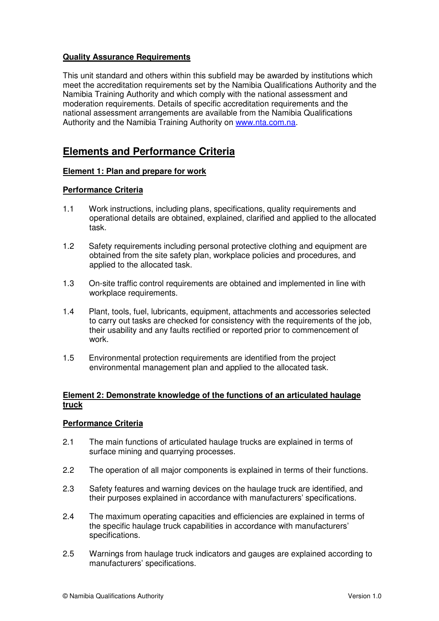# **Quality Assurance Requirements**

This unit standard and others within this subfield may be awarded by institutions which meet the accreditation requirements set by the Namibia Qualifications Authority and the Namibia Training Authority and which comply with the national assessment and moderation requirements. Details of specific accreditation requirements and the national assessment arrangements are available from the Namibia Qualifications Authority and the Namibia Training Authority on www.nta.com.na.

# **Elements and Performance Criteria**

## **Element 1: Plan and prepare for work**

# **Performance Criteria**

- 1.1 Work instructions, including plans, specifications, quality requirements and operational details are obtained, explained, clarified and applied to the allocated task.
- 1.2 Safety requirements including personal protective clothing and equipment are obtained from the site safety plan, workplace policies and procedures, and applied to the allocated task.
- 1.3 On-site traffic control requirements are obtained and implemented in line with workplace requirements.
- 1.4 Plant, tools, fuel, lubricants, equipment, attachments and accessories selected to carry out tasks are checked for consistency with the requirements of the job, their usability and any faults rectified or reported prior to commencement of work.
- 1.5 Environmental protection requirements are identified from the project environmental management plan and applied to the allocated task.

## **Element 2: Demonstrate knowledge of the functions of an articulated haulage truck**

## **Performance Criteria**

- 2.1 The main functions of articulated haulage trucks are explained in terms of surface mining and quarrying processes.
- 2.2 The operation of all major components is explained in terms of their functions.
- 2.3 Safety features and warning devices on the haulage truck are identified, and their purposes explained in accordance with manufacturers' specifications.
- 2.4 The maximum operating capacities and efficiencies are explained in terms of the specific haulage truck capabilities in accordance with manufacturers' specifications.
- 2.5 Warnings from haulage truck indicators and gauges are explained according to manufacturers' specifications.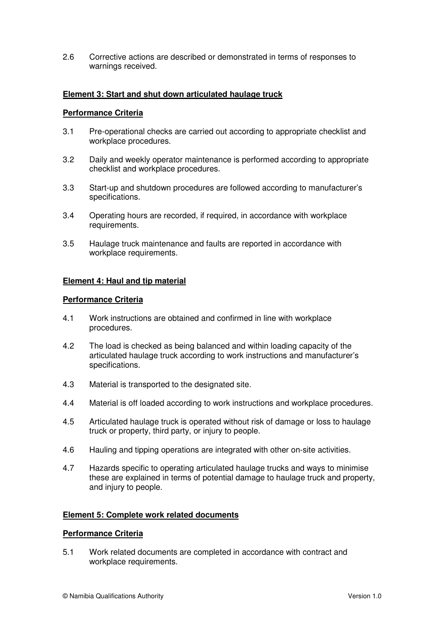2.6 Corrective actions are described or demonstrated in terms of responses to warnings received.

## **Element 3: Start and shut down articulated haulage truck**

#### **Performance Criteria**

- 3.1 Pre-operational checks are carried out according to appropriate checklist and workplace procedures.
- 3.2 Daily and weekly operator maintenance is performed according to appropriate checklist and workplace procedures.
- 3.3 Start-up and shutdown procedures are followed according to manufacturer's specifications.
- 3.4 Operating hours are recorded, if required, in accordance with workplace requirements.
- 3.5 Haulage truck maintenance and faults are reported in accordance with workplace requirements.

## **Element 4: Haul and tip material**

#### **Performance Criteria**

- 4.1 Work instructions are obtained and confirmed in line with workplace procedures.
- 4.2 The load is checked as being balanced and within loading capacity of the articulated haulage truck according to work instructions and manufacturer's specifications.
- 4.3 Material is transported to the designated site.
- 4.4 Material is off loaded according to work instructions and workplace procedures.
- 4.5 Articulated haulage truck is operated without risk of damage or loss to haulage truck or property, third party, or injury to people.
- 4.6 Hauling and tipping operations are integrated with other on-site activities.
- 4.7 Hazards specific to operating articulated haulage trucks and ways to minimise these are explained in terms of potential damage to haulage truck and property, and injury to people.

## **Element 5: Complete work related documents**

#### **Performance Criteria**

5.1 Work related documents are completed in accordance with contract and workplace requirements.